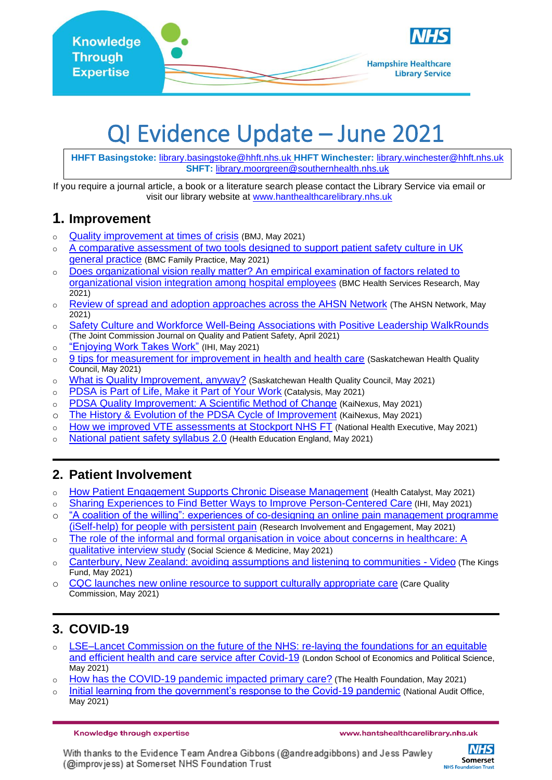

# QI Evidence Update – June 2021

**HHFT Basingstoke:** [library.basingstoke@hhft.nhs.uk](mailto:library.basingstoke@hhft.nhs.uk) **HHFT Winchester:** [library.winchester@hhft.nhs.uk](mailto:library.winchester@hhft.nhs.uk) **SHFT:** [library.moorgreen@southernhealth.nhs.uk](mailto:library.moorgreen@southernhealth.nhs.uk)

If you require a journal article, a book or a literature search please contact the Library Service via email or visit our library website at [www.hanthealthcarelibrary.nhs.uk](http://www.hanthealthcarelibrary.nhs.uk/)

## **1. Improvement**

- o [Quality improvement at times of crisis](https://www.bmj.com/content/373/bmj.n928?dm_i=501H,I14S,2EK2KE,24VPM,1) (BMJ, May 202[1\)](https://www.bmj.com/content/373/bmj.n928?dm_i=501H,I14S,2EK2KE,24VPM,1)
- o A comparative assessment of two tools designed to support patient safety culture in UK [general practice](https://bmcfampract.biomedcentral.com/articles/10.1186/s12875-021-01438-4) (BMC Family Practice, May 2021)
- o [Does organizational vision really matter? An empirical examination of factors related to](https://bmchealthservres.biomedcentral.com/articles/10.1186/s12913-021-06503-3)  [organizational vision integration among hospital employees](https://bmchealthservres.biomedcentral.com/articles/10.1186/s12913-021-06503-3) [\(BMC Health Services Research,](https://bmchealthservres.biomedcentral.com/) May 2021)
- o [Review of spread and adoption approaches across the AHSN Network](https://www.ahsnnetwork.com/app/uploads/2021/05/Spread-and-adoption-review-final.pdf) (The AHSN Network, May 2021)
- o [Safety Culture and Workforce Well-Being Associations with Positive Leadership WalkRounds](https://www.sciencedirect.com/science/article/pii/S1553725021000945) (The Joint Commission Journal on Quality and Patient Safety, April 2021)
- o ["Enjoying Work Takes Work"](http://www.ihi.org/communities/blogs/enjoying-work-takes-work) (IHI, May 2021)
- o [9 tips for measurement for improvement in health and health care](https://www.hqc.sk.ca/news-and-events/hqc-blog/9-tips-for-measurement-for-improvement-in-health-and-health-care) (Saskatchewan Health Quality Council, May 2021)
- o [What is Quality Improvement, anyway?](https://www.hqc.sk.ca/news-and-events/hqc-blog/what-is-quality-improvement-anyway) (Saskatchewan Health Quality Council, May 2021)
- o [PDSA is Part of Life, Make it Part of Your Work](https://createvalue.org/blog/pdsa-is-part-of-life-make-it-part-of-your-work/) (Catalysis, May 2021)
- o PDSA Quality [Improvement: A Scientific Method of Change](https://blog.kainexus.com/continuous-improvement/improvement-disciplines/lean/pdsa/a-scientific-approach-to-continuous-improvement) (KaiNexus, May 2021)
- o [The History & Evolution of the PDSA Cycle of Improvement](https://blog.kainexus.com/improvement-disciplines/lean/pdsa/the-history-and-evolution-of-the-pdsa-cycle) (KaiNexus, May 2021)
- o [How we improved VTE assessments at Stockport NHS FT](https://www.nationalhealthexecutive.com/articles/improved-vte-assessment-stockport-nhs-ft) (National Health Executive, May 2021)
- o [National patient safety syllabus 2.0](https://www.hee.nhs.uk/our-work/patient-safety) (Health Education England, May 2021)

## **2. Patient Involvement**

- o [How Patient Engagement Supports Chronic Disease Management](https://patientengagementhit.com/features/how-patient-engagement-supports-chronic-disease-management) (Health Catalyst, May 2021)
- o [Sharing Experiences to Find Better Ways to Improve Person-Centered Care](http://www.ihi.org/communities/blogs/africa-sharing-experiences-to-find-better-ways-to-improve-person-centered-care) (IHI, May 2021)
- o "A coalition of the willing": experiences of co-designing an online pain management programme [\(iSelf-help\) for people with persistent pain](https://researchinvolvement.biomedcentral.com/articles/10.1186/s40900-021-00275-0) (Research Involvement and Engagement, May 2021)
- o [The role of the informal and formal organisation in voice about concerns in healthcare: A](https://www.researchgate.net/publication/351754368_The_role_of_the_informal_and_formal_organisation_in_voice_about_concerns_in_healthcare_A_qualitative_interview_study)  [qualitative interview study](https://www.researchgate.net/publication/351754368_The_role_of_the_informal_and_formal_organisation_in_voice_about_concerns_in_healthcare_A_qualitative_interview_study) (Social Science & Medicine, May 2021)
- o [Canterbury, New Zealand: avoiding assumptions and listening to communities -](https://www.kingsfund.org.uk/audio-video/canterbury-new-zealand-avoiding-assumptions-listening-communities?) Video (The Kings Fund, May 2021)
- o [CQC launches new online resource to support culturally appropriate care](https://www.cqc.org.uk/news/stories/cqc-launches-new-online-resource-support-culturally-appropriate-care) (Care Quality Commission, May 2021)

## **3. COVID-19**

- o [LSE–Lancet Commission on the future of the NHS: re-laying the foundations for an equitable](https://www.thelancet.com/pdfs/journals/lancet/PIIS0140-6736(21)00232-4.pdf)  [and efficient health and care service after Covid-19](https://www.thelancet.com/pdfs/journals/lancet/PIIS0140-6736(21)00232-4.pdf) (London School of Economics and Political Science, May 2021)
- o [How has the COVID-19 pandemic impacted primary care?](https://www.health.org.uk/news-and-comment/charts-and-infographics/how-has-the-covid-19-pandemic-impacted-primary-care) (The Health Foundation, May 2021)
- o [Initial learning from the government's response to the Covid-19 pandemic](https://www.nao.org.uk/wp-content/uploads/2021/05/Initial-learning-from-the-governments-response-to-the-COVID-19-pandemic.pdf) (National Audit Office, May 2021)

Knowledge through expertise

With thanks to the Evidence Team Andrea Gibbons (@andreadgibbons) and Jess Pawley (@improvjess) at Somerset NHS Foundation Trust